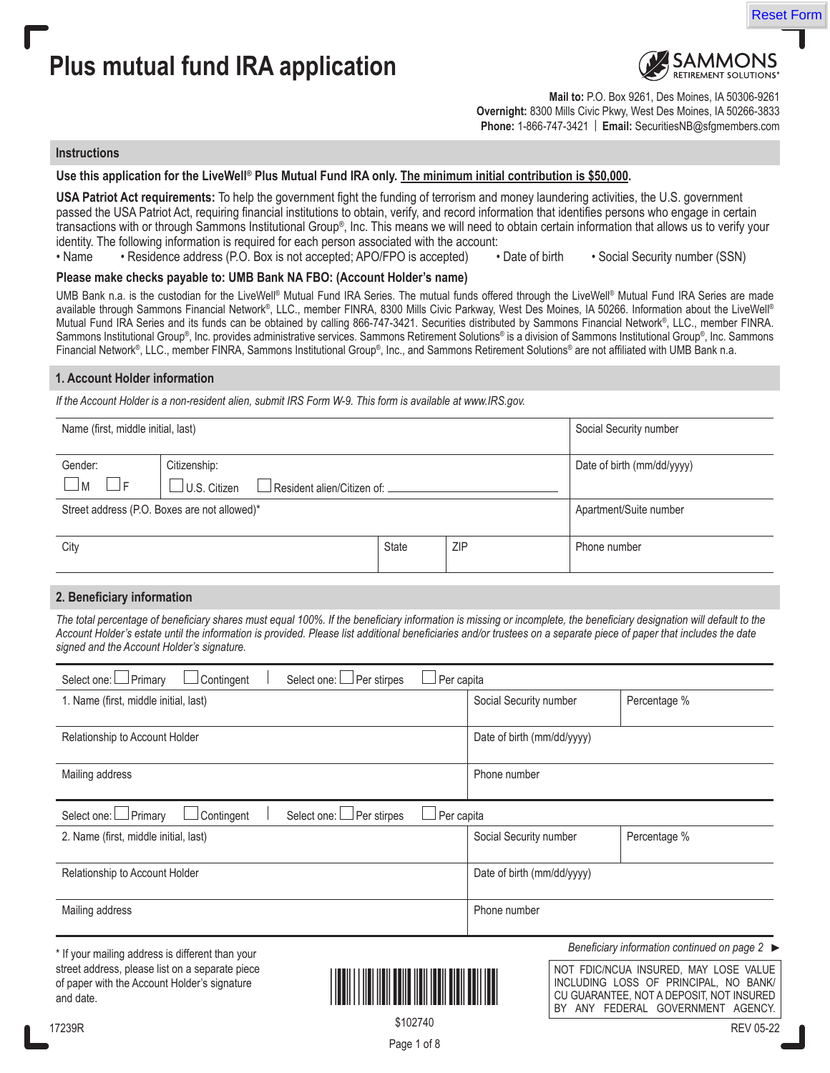



Reset Form

**Mail to:** P.O. Box 9261, Des Moines, IA 50306-9261 **Overnight:** 8300 Mills Civic Pkwy, West Des Moines, IA 50266-3833 **Phone:** 1-866-747-3421 | **Email:** SecuritiesNB@sfgmembers.com

### **Instructions**

### **Use this application for the LiveWell® Plus Mutual Fund IRA only. The minimum initial contribution is \$50,000.**

**USA Patriot Act requirements:** To help the government fight the funding of terrorism and money laundering activities, the U.S. government passed the USA Patriot Act, requiring financial institutions to obtain, verify, and record information that identifies persons who engage in certain transactions with or through Sammons Institutional Group®, Inc. This means we will need to obtain certain information that allows us to verify your identity. The following information is required for each person associated with the account:

• Name • Residence address (P.O. Box is not accepted; APO/FPO is accepted) • Date of birth • Social Security number (SSN)

#### **Please make checks payable to: UMB Bank NA FBO: (Account Holder's name)**

UMB Bank n.a. is the custodian for the LiveWell® Mutual Fund IRA Series. The mutual funds offered through the LiveWell® Mutual Fund IRA Series are made available through Sammons Financial Network®, LLC., member FINRA, 8300 Mills Civic Parkway, West Des Moines, IA 50266. Information about the LiveWell® Mutual Fund IRA Series and its funds can be obtained by calling 866-747-3421. Securities distributed by Sammons Financial Network®, LLC., member FINRA. Sammons Institutional Group®, Inc. provides administrative services. Sammons Retirement Solutions® is a division of Sammons Institutional Group®, Inc. Sammons Financial Network®, LLC., member FINRA, Sammons Institutional Group®, Inc., and Sammons Retirement Solutions® are not affiliated with UMB Bank n.a.

#### **1. Account Holder information**

*If the Account Holder is a non-resident alien, submit IRS Form W-9. This form is available at www.IRS.gov.*

| Name (first, middle initial, last)           |                                                     |              |     | Social Security number     |
|----------------------------------------------|-----------------------------------------------------|--------------|-----|----------------------------|
| Gender:                                      | Citizenship:                                        |              |     | Date of birth (mm/dd/yyyy) |
| - IF<br>$\blacksquare$                       | $\Box$ U.S. Citizen<br>Resident alien/Citizen of: . |              |     |                            |
| Street address (P.O. Boxes are not allowed)* |                                                     |              |     | Apartment/Suite number     |
|                                              |                                                     |              |     |                            |
| City                                         |                                                     | <b>State</b> | ZIP | Phone number               |
|                                              |                                                     |              |     |                            |

### **2. Beneficiary information**

*The total percentage of beneficiary shares must equal 100%. If the beneficiary information is missing or incomplete, the beneficiary designation will default to the Account Holder's estate until the information is provided. Please list additional beneficiaries and/or trustees on a separate piece of paper that includes the date signed and the Account Holder's signature.* 

| Select one: DPrimary<br>Contingent                                                                           | Per stirpes<br>Select one: | Per capita |                            |    |                                                                                                                                                              |
|--------------------------------------------------------------------------------------------------------------|----------------------------|------------|----------------------------|----|--------------------------------------------------------------------------------------------------------------------------------------------------------------|
| 1. Name (first, middle initial, last)                                                                        |                            |            | Social Security number     |    | Percentage %                                                                                                                                                 |
| Relationship to Account Holder                                                                               |                            |            | Date of birth (mm/dd/yyyy) |    |                                                                                                                                                              |
| Mailing address                                                                                              |                            |            | Phone number               |    |                                                                                                                                                              |
| Select one: DPrimary<br>Contingent                                                                           | Per stirpes<br>Select one: | Per capita |                            |    |                                                                                                                                                              |
| 2. Name (first, middle initial, last)                                                                        |                            |            | Social Security number     |    | Percentage %                                                                                                                                                 |
| Relationship to Account Holder                                                                               |                            |            | Date of birth (mm/dd/yyyy) |    |                                                                                                                                                              |
| Mailing address                                                                                              |                            |            | Phone number               |    |                                                                                                                                                              |
| * If your mailing address is different than your                                                             |                            |            |                            |    | Beneficiary information continued on page $2 \blacktriangleright$                                                                                            |
| street address, please list on a separate piece<br>of paper with the Account Holder's signature<br>and date. |                            |            |                            | BY | NOT FDIC/NCUA INSURED, MAY LOSE VALUE<br>INCLUDING LOSS OF PRINCIPAL, NO BANK/<br>CU GUARANTEE, NOT A DEPOSIT, NOT INSURED<br>ANY FEDERAL GOVERNMENT AGENCY. |
| 7000D                                                                                                        |                            | \$102740   |                            |    | $P1 \cap P 2$                                                                                                                                                |

Page 1 of 8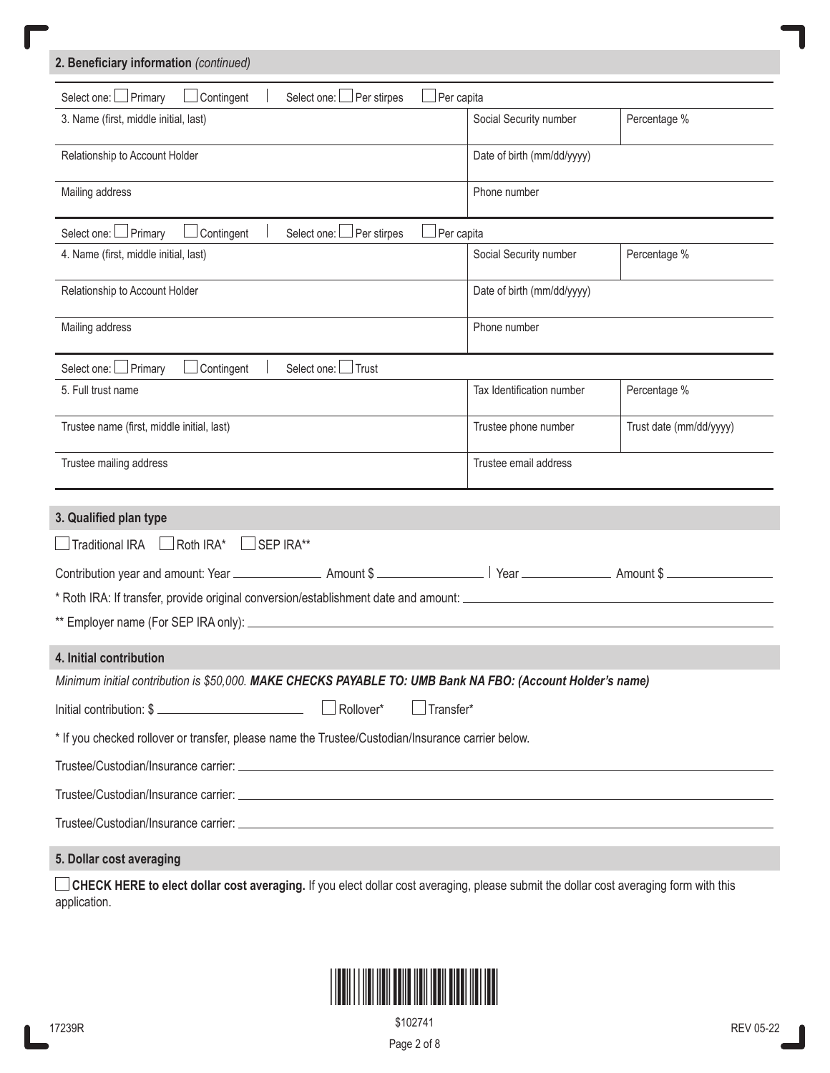| 2. Beneficiary information (continued)                                                                     |                  |                            |                         |
|------------------------------------------------------------------------------------------------------------|------------------|----------------------------|-------------------------|
| Select one: Primary<br>$\Box$ Contingent<br>Select one: Per stirpes                                        | Per capita       |                            |                         |
| 3. Name (first, middle initial, last)                                                                      |                  | Social Security number     | Percentage %            |
| Relationship to Account Holder                                                                             |                  | Date of birth (mm/dd/yyyy) |                         |
| Mailing address                                                                                            |                  | Phone number               |                         |
| Select one: Primary<br>Contingent<br>Select one: Der stirpes                                               | Per capita       |                            |                         |
| 4. Name (first, middle initial, last)                                                                      |                  | Social Security number     | Percentage %            |
| Relationship to Account Holder                                                                             |                  | Date of birth (mm/dd/yyyy) |                         |
| Mailing address                                                                                            |                  | Phone number               |                         |
| Select one: DPrimary<br>Contingent<br>Select one: I Trust                                                  |                  |                            |                         |
| 5. Full trust name                                                                                         |                  | Tax Identification number  | Percentage %            |
| Trustee name (first, middle initial, last)                                                                 |                  | Trustee phone number       | Trust date (mm/dd/yyyy) |
| Trustee mailing address                                                                                    |                  | Trustee email address      |                         |
| 3. Qualified plan type                                                                                     |                  |                            |                         |
| Traditional IRA<br>$\Box$ Roth IRA*<br>SEP IRA**                                                           |                  |                            |                         |
|                                                                                                            |                  |                            |                         |
|                                                                                                            |                  |                            |                         |
|                                                                                                            |                  |                            |                         |
| 4. Initial contribution                                                                                    |                  |                            |                         |
| Minimum initial contribution is \$50,000. MAKE CHECKS PAYABLE TO: UMB Bank NA FBO: (Account Holder's name) |                  |                            |                         |
|                                                                                                            | $\Box$ Transfer* |                            |                         |
| * If you checked rollover or transfer, please name the Trustee/Custodian/Insurance carrier below.          |                  |                            |                         |
|                                                                                                            |                  |                            |                         |
|                                                                                                            |                  |                            |                         |
|                                                                                                            |                  |                            |                         |
| 5. Dollar cost averaging                                                                                   |                  |                            |                         |

**CHECK HERE to elect dollar cost averaging.** If you elect dollar cost averaging, please submit the dollar cost averaging form with this application.



Page 2 of 8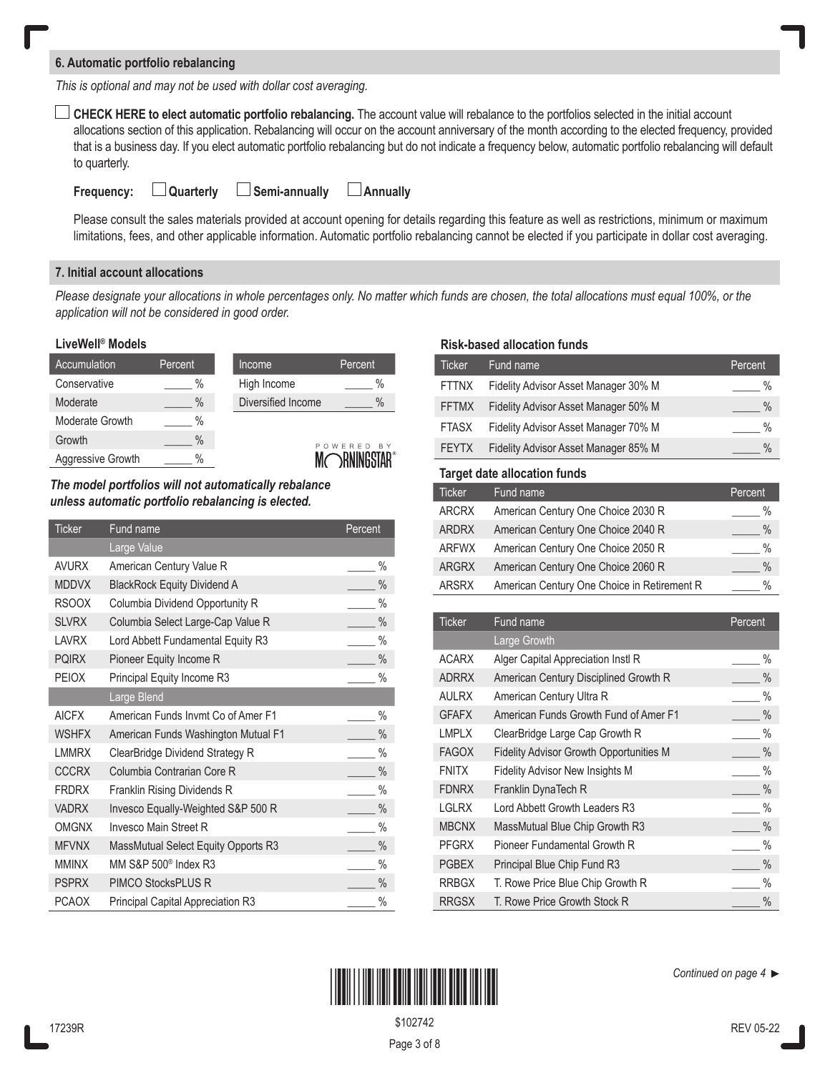## **6. Automatic portfolio rebalancing**

*This is optional and may not be used with dollar cost averaging.*

**CHECK HERE to elect automatic portfolio rebalancing.** The account value will rebalance to the portfolios selected in the initial account allocations section of this application. Rebalancing will occur on the account anniversary of the month according to the elected frequency, provided that is a business day. If you elect automatic portfolio rebalancing but do not indicate a frequency below, automatic portfolio rebalancing will default to quarterly.

| <b>Annually</b><br><b>Semi-annually</b><br><b>Quarterly</b><br>Frequency: |
|---------------------------------------------------------------------------|
|---------------------------------------------------------------------------|

Please consult the sales materials provided at account opening for details regarding this feature as well as restrictions, minimum or maximum limitations, fees, and other applicable information. Automatic portfolio rebalancing cannot be elected if you participate in dollar cost averaging.

# **7. Initial account allocations**

*Please designate your allocations in whole percentages only. No matter which funds are chosen, the total allocations must equal 100%, or the application will not be considered in good order.*

## **LiveWell® Models**

| Accumulation      | Percent | Income      |                    | Percent       |
|-------------------|---------|-------------|--------------------|---------------|
| Conservative      | %       | High Income |                    | $\%$          |
| Moderate          | $\%$    |             | Diversified Income | $\%$          |
| Moderate Growth   | %       |             |                    |               |
| Growth            | $\%$    |             |                    | POWERED<br>BY |
| Aggressive Growth | $\%$    |             |                    |               |

*The model portfolios will not automatically rebalance unless automatic portfolio rebalancing is elected.* 

| <b>Ticker</b> | Fund name                           | Percent       |
|---------------|-------------------------------------|---------------|
|               | Large Value                         |               |
| <b>AVURX</b>  | American Century Value R            | $\%$          |
| <b>MDDVX</b>  | <b>BlackRock Equity Dividend A</b>  | $\frac{0}{0}$ |
| <b>RSOOX</b>  | Columbia Dividend Opportunity R     | $\%$          |
| <b>SLVRX</b>  | Columbia Select Large-Cap Value R   | $\frac{0}{0}$ |
| <b>LAVRX</b>  | Lord Abbett Fundamental Equity R3   | $\%$          |
| <b>PQIRX</b>  | Pioneer Equity Income R             | $\%$          |
| <b>PEIOX</b>  | Principal Equity Income R3          | $\frac{0}{0}$ |
|               | Large Blend                         |               |
| <b>AICFX</b>  | American Funds Invmt Co of Amer F1  | $\%$          |
| <b>WSHFX</b>  | American Funds Washington Mutual F1 | $\%$          |
| <b>LMMRX</b>  | ClearBridge Dividend Strategy R     | $\%$          |
| <b>CCCRX</b>  | Columbia Contrarian Core R          | $\frac{0}{0}$ |
| <b>FRDRX</b>  | Franklin Rising Dividends R         | $\%$          |
| <b>VADRX</b>  | Invesco Equally-Weighted S&P 500 R  | $\frac{0}{0}$ |
| <b>OMGNX</b>  | <b>Invesco Main Street R</b>        | $\%$          |
| <b>MFVNX</b>  | MassMutual Select Equity Opports R3 | $\frac{0}{0}$ |
| <b>MMINX</b>  | MM S&P 500 <sup>®</sup> Index R3    | $\%$          |
| <b>PSPRX</b>  | PIMCO StocksPLUS R                  | $\%$          |
| <b>PCAOX</b>  | Principal Capital Appreciation R3   | $\%$          |

# **Risk-based allocation funds**

| <b>Ticker</b> | Fund name                                      | Percent       |
|---------------|------------------------------------------------|---------------|
| <b>FTTNX</b>  | Fidelity Advisor Asset Manager 30% M           | $\frac{0}{0}$ |
| <b>FFTMX</b>  | Fidelity Advisor Asset Manager 50% M           | $\frac{0}{0}$ |
| <b>FTASX</b>  | Fidelity Advisor Asset Manager 70% M           | $\frac{0}{0}$ |
| <b>FEYTX</b>  | Fidelity Advisor Asset Manager 85% M           | $\%$          |
|               | <b>Target date allocation funds</b>            |               |
| <b>Ticker</b> | Fund name                                      | Percent       |
| <b>ARCRX</b>  | American Century One Choice 2030 R             | $\%$          |
| <b>ARDRX</b>  | American Century One Choice 2040 R             | $\frac{0}{0}$ |
| <b>ARFWX</b>  | American Century One Choice 2050 R             | $\frac{0}{0}$ |
| <b>ARGRX</b>  | American Century One Choice 2060 R             | $\frac{0}{0}$ |
| <b>ARSRX</b>  | American Century One Choice in Retirement R    | $\frac{0}{0}$ |
|               |                                                |               |
| <b>Ticker</b> | Fund name                                      | Percent       |
|               | Large Growth                                   |               |
| <b>ACARX</b>  | Alger Capital Appreciation Instl R             | $\frac{0}{0}$ |
| <b>ADRRX</b>  | American Century Disciplined Growth R          | $\%$          |
| <b>AULRX</b>  | American Century Ultra R                       | $\frac{0}{0}$ |
| <b>GFAFX</b>  | American Funds Growth Fund of Amer F1          | $\frac{0}{0}$ |
| <b>LMPLX</b>  | ClearBridge Large Cap Growth R                 | $\%$          |
| <b>FAGOX</b>  | <b>Fidelity Advisor Growth Opportunities M</b> | $\frac{0}{0}$ |
| <b>FNITX</b>  | <b>Fidelity Advisor New Insights M</b>         | $\frac{0}{0}$ |
| <b>FDNRX</b>  | Franklin DynaTech R                            | $\%$          |
| <b>LGLRX</b>  | Lord Abbett Growth Leaders R3                  | $\frac{0}{0}$ |
| <b>MBCNX</b>  | MassMutual Blue Chip Growth R3                 | $\frac{0}{0}$ |
| <b>PFGRX</b>  | Pioneer Fundamental Growth R                   | $\%$          |
| <b>PGBEX</b>  | Principal Blue Chip Fund R3                    | $\frac{0}{0}$ |
| <b>RRBGX</b>  | T. Rowe Price Blue Chip Growth R               | $\frac{0}{0}$ |
| <b>RRGSX</b>  | T. Rowe Price Growth Stock R                   | $\%$          |



*Continued on page 4* 

Page 3 of 8 \$102742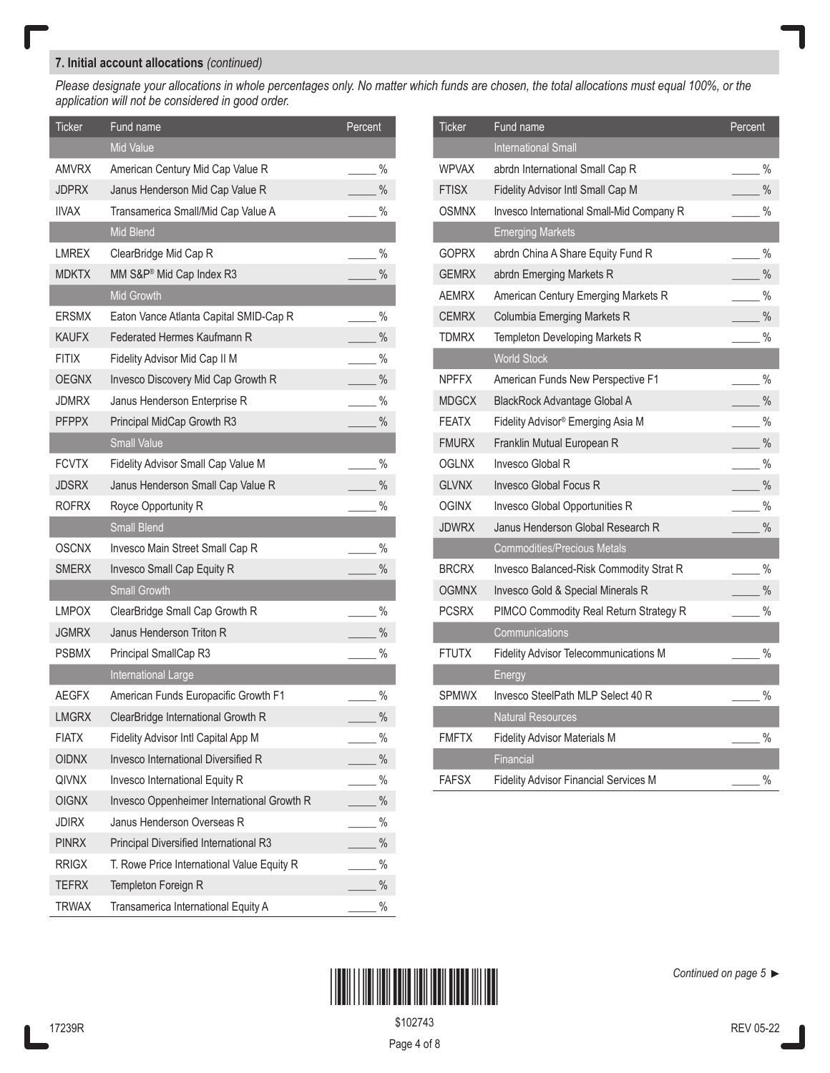# **7. Initial account allocations** *(continued)*

*Please designate your allocations in whole percentages only. No matter which funds are chosen, the total allocations must equal 100%, or the application will not be considered in good order.*

| Ticker       | Fund name                                  | Percent       |
|--------------|--------------------------------------------|---------------|
|              | <b>Mid Value</b>                           |               |
| AMVRX        | American Century Mid Cap Value R           | $\%$          |
| <b>JDPRX</b> | Janus Henderson Mid Cap Value R            | $\%$          |
| <b>IIVAX</b> | Transamerica Small/Mid Cap Value A         | $\%$          |
|              | Mid Blend                                  |               |
| LMREX        | ClearBridge Mid Cap R                      | $\frac{0}{0}$ |
| <b>MDKTX</b> | MM S&P® Mid Cap Index R3                   | $\frac{0}{0}$ |
|              | <b>Mid Growth</b>                          |               |
| <b>ERSMX</b> | Eaton Vance Atlanta Capital SMID-Cap R     | %             |
| <b>KAUFX</b> | Federated Hermes Kaufmann R                | $\%$          |
| <b>FITIX</b> | Fidelity Advisor Mid Cap II M              | $\%$          |
| <b>OEGNX</b> | Invesco Discovery Mid Cap Growth R         | $\%$          |
| JDMRX        | Janus Henderson Enterprise R               | $\%$          |
| <b>PFPPX</b> | Principal MidCap Growth R3                 | $\%$          |
|              | <b>Small Value</b>                         |               |
| <b>FCVTX</b> | Fidelity Advisor Small Cap Value M         | $\%$          |
| <b>JDSRX</b> | Janus Henderson Small Cap Value R          | $\%$          |
| <b>ROFRX</b> | Royce Opportunity R                        | $\%$          |
|              | <b>Small Blend</b>                         |               |
| OSCNX        | Invesco Main Street Small Cap R            | $\%$          |
| <b>SMERX</b> | Invesco Small Cap Equity R                 | $\%$          |
|              | <b>Small Growth</b>                        |               |
| LMPOX        | ClearBridge Small Cap Growth R             | $\frac{0}{0}$ |
| <b>JGMRX</b> | Janus Henderson Triton R                   | $\%$          |
| <b>PSBMX</b> | Principal SmallCap R3                      | $\frac{0}{0}$ |
|              | International Large                        |               |
| AEGFX        | American Funds Europacific Growth F1       | $\%$          |
| <b>LMGRX</b> | ClearBridge International Growth R         | $\frac{0}{0}$ |
| <b>FIATX</b> | Fidelity Advisor Intl Capital App M        | $\%$          |
| <b>OIDNX</b> | <b>Invesco International Diversified R</b> | $\%$          |
| <b>QIVNX</b> | Invesco International Equity R             | $\%$          |
| <b>OIGNX</b> | Invesco Oppenheimer International Growth R | $\%$          |
| <b>JDIRX</b> | Janus Henderson Overseas R                 | $\%$          |
| <b>PINRX</b> | Principal Diversified International R3     | $\%$          |
| <b>RRIGX</b> | T. Rowe Price International Value Equity R | $\%$          |
| <b>TEFRX</b> | Templeton Foreign R                        | $\%$          |
| <b>TRWAX</b> | Transamerica International Equity A        | $\%$          |

| Ticker       | Fund name                                     | Percent       |
|--------------|-----------------------------------------------|---------------|
|              | <b>International Small</b>                    |               |
| <b>WPVAX</b> | abrdn International Small Cap R               | $\frac{0}{0}$ |
| <b>FTISX</b> | Fidelity Advisor Intl Small Cap M             | $\frac{0}{0}$ |
| <b>OSMNX</b> | Invesco International Small-Mid Company R     | $\%$          |
|              | <b>Emerging Markets</b>                       |               |
| GOPRX        | abrdn China A Share Equity Fund R             | $\frac{0}{0}$ |
| <b>GEMRX</b> | abrdn Emerging Markets R                      | $\frac{0}{0}$ |
| <b>AEMRX</b> | American Century Emerging Markets R           | $\%$          |
| <b>CEMRX</b> | Columbia Emerging Markets R                   | $\frac{0}{0}$ |
| <b>TDMRX</b> | Templeton Developing Markets R                | $\frac{0}{0}$ |
|              | <b>World Stock</b>                            |               |
| <b>NPFFX</b> | American Funds New Perspective F1             | $\frac{0}{0}$ |
| <b>MDGCX</b> | BlackRock Advantage Global A                  | $\frac{0}{0}$ |
| <b>FEATX</b> | Fidelity Advisor <sup>®</sup> Emerging Asia M | $\%$          |
| <b>FMURX</b> | Franklin Mutual European R                    | $\frac{0}{0}$ |
| <b>OGLNX</b> | Invesco Global R                              | $\frac{0}{0}$ |
| <b>GLVNX</b> | <b>Invesco Global Focus R</b>                 | $\frac{0}{0}$ |
| <b>OGINX</b> | Invesco Global Opportunities R                | $\frac{0}{0}$ |
| <b>JDWRX</b> | Janus Henderson Global Research R             | $\frac{0}{0}$ |
|              | <b>Commodities/Precious Metals</b>            |               |
| <b>BRCRX</b> | Invesco Balanced-Risk Commodity Strat R       | $\%$          |
| <b>OGMNX</b> | Invesco Gold & Special Minerals R             | $\%$          |
| <b>PCSRX</b> | PIMCO Commodity Real Return Strategy R        | $\frac{0}{0}$ |
|              | Communications                                |               |
| FTUTX        | Fidelity Advisor Telecommunications M         | $\%$          |
|              | Energy                                        |               |
| <b>SPMWX</b> | Invesco SteelPath MLP Select 40 R             | $\frac{0}{0}$ |
|              | <b>Natural Resources</b>                      |               |
| <b>FMFTX</b> | <b>Fidelity Advisor Materials M</b>           | $\%$          |
|              | Financial                                     |               |
| FAFSX        | <b>Fidelity Advisor Financial Services M</b>  | %             |



\$102743

Page 4 of 8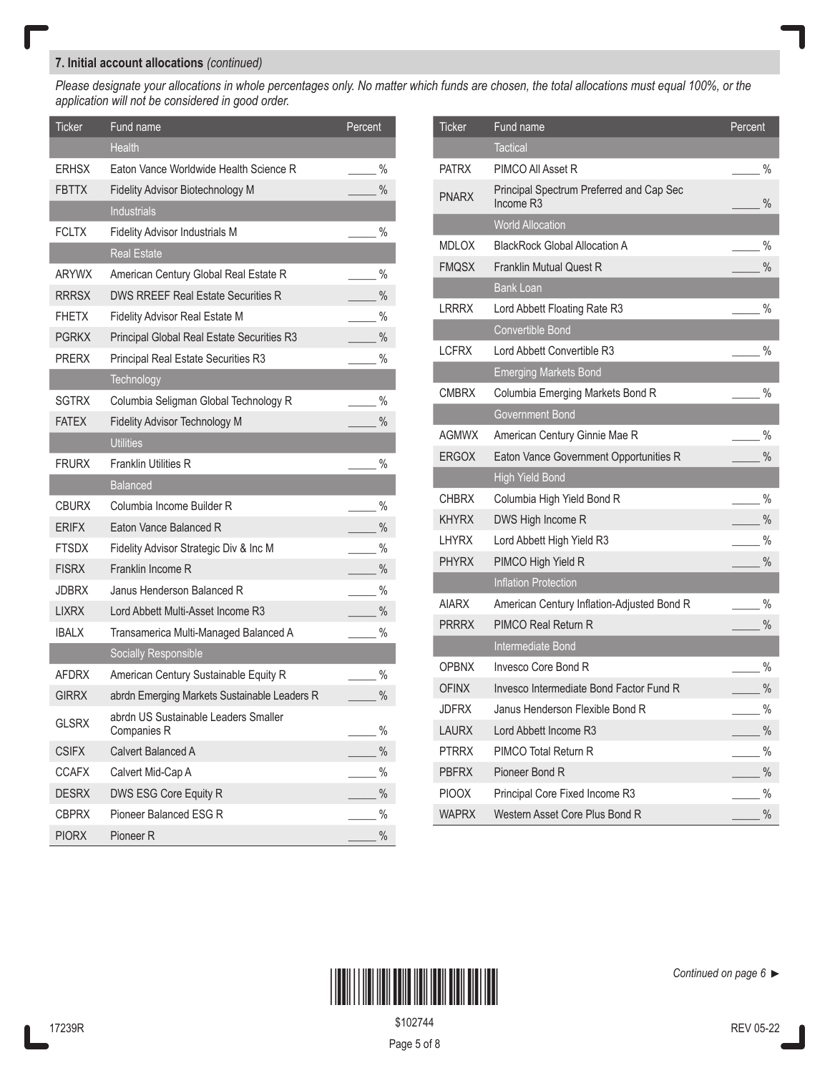# **7. Initial account allocations** *(continued)*

*Please designate your allocations in whole percentages only. No matter which funds are chosen, the total allocations must equal 100%, or the application will not be considered in good order.*

| <b>Ticker</b> | Fund name                                           | Percent       |
|---------------|-----------------------------------------------------|---------------|
|               | <b>Health</b>                                       |               |
| <b>ERHSX</b>  | Eaton Vance Worldwide Health Science R              | $\%$          |
| <b>FBTTX</b>  | Fidelity Advisor Biotechnology M                    | $\%$          |
|               | <b>Industrials</b>                                  |               |
| <b>FCLTX</b>  | Fidelity Advisor Industrials M                      | $\%$          |
|               | <b>Real Estate</b>                                  |               |
| ARYWX         | American Century Global Real Estate R               | $\%$          |
| <b>RRRSX</b>  | <b>DWS RREEF Real Estate Securities R</b>           | $\%$          |
| FHETX         | <b>Fidelity Advisor Real Estate M</b>               | $\%$          |
| <b>PGRKX</b>  | Principal Global Real Estate Securities R3          | $\%$          |
| <b>PRERX</b>  | Principal Real Estate Securities R3                 | $\%$          |
|               | Technology                                          |               |
| <b>SGTRX</b>  | Columbia Seligman Global Technology R               | $\%$          |
| <b>FATEX</b>  | <b>Fidelity Advisor Technology M</b>                | $\frac{0}{0}$ |
|               | <b>Utilities</b>                                    |               |
| <b>FRURX</b>  | <b>Franklin Utilities R</b>                         | $\%$          |
|               | <b>Balanced</b>                                     |               |
| <b>CBURX</b>  | Columbia Income Builder R                           | %             |
| <b>ERIFX</b>  | Eaton Vance Balanced R                              | $\%$          |
| FTSDX         | Fidelity Advisor Strategic Div & Inc M              | $\%$          |
| <b>FISRX</b>  | Franklin Income R                                   | $\%$          |
| <b>JDBRX</b>  | Janus Henderson Balanced R                          | $\%$          |
| <b>LIXRX</b>  | Lord Abbett Multi-Asset Income R3                   | $\%$          |
| <b>IBALX</b>  | Transamerica Multi-Managed Balanced A               | $\%$          |
|               | Socially Responsible                                |               |
| AFDRX         | American Century Sustainable Equity R               | $\%$          |
| <b>GIRRX</b>  | abrdn Emerging Markets Sustainable Leaders R        | $\%$          |
| <b>GLSRX</b>  | abrdn US Sustainable Leaders Smaller<br>Companies R | $\%$          |
| <b>CSIFX</b>  | Calvert Balanced A                                  | $\%$          |
| <b>CCAFX</b>  | Calvert Mid-Cap A                                   | $\%$          |
| <b>DESRX</b>  | DWS ESG Core Equity R                               | $\%$          |
| <b>CBPRX</b>  | Pioneer Balanced ESG R                              | $\%$          |
| <b>PIORX</b>  | Pioneer R                                           | $\%$          |

| <b>Ticker</b> | Fund name                                                         | Percent       |
|---------------|-------------------------------------------------------------------|---------------|
|               | <b>Tactical</b>                                                   |               |
| <b>PATRX</b>  | PIMCO All Asset R                                                 | $\frac{0}{0}$ |
| <b>PNARX</b>  | Principal Spectrum Preferred and Cap Sec<br>Income R <sub>3</sub> | $\frac{0}{0}$ |
|               | <b>World Allocation</b>                                           |               |
| <b>MDLOX</b>  | <b>BlackRock Global Allocation A</b>                              | $\frac{0}{0}$ |
| <b>FMOSX</b>  | <b>Franklin Mutual Quest R</b>                                    | $\frac{0}{0}$ |
|               | <b>Bank Loan</b>                                                  |               |
| <b>LRRRX</b>  | Lord Abbett Floating Rate R3                                      | $\%$          |
|               | Convertible Bond                                                  |               |
| <b>LCFRX</b>  | Lord Abbett Convertible R3                                        | $\frac{0}{0}$ |
|               | <b>Emerging Markets Bond</b>                                      |               |
| <b>CMBRX</b>  | Columbia Emerging Markets Bond R                                  | $\frac{0}{0}$ |
|               | <b>Government Bond</b>                                            |               |
| <b>AGMWX</b>  | American Century Ginnie Mae R                                     | $\frac{0}{0}$ |
| <b>ERGOX</b>  | Eaton Vance Government Opportunities R                            | $\frac{0}{0}$ |
|               | <b>High Yield Bond</b>                                            |               |
| <b>CHBRX</b>  | Columbia High Yield Bond R                                        | $\frac{0}{0}$ |
| <b>KHYRX</b>  | DWS High Income R                                                 | $\frac{0}{0}$ |
| I HYRX        | Lord Abbett High Yield R3                                         | $\frac{0}{0}$ |
| <b>PHYRX</b>  | PIMCO High Yield R                                                | $\frac{0}{0}$ |
|               | <b>Inflation Protection</b>                                       |               |
| <b>AIARX</b>  | American Century Inflation-Adjusted Bond R                        | $\%$          |
| <b>PRRRX</b>  | PIMCO Real Return R                                               | $\frac{0}{0}$ |
|               | Intermediate Bond                                                 |               |
| <b>OPBNX</b>  | <b>Invesco Core Bond R</b>                                        | $\%$          |
| <b>OFINX</b>  | Invesco Intermediate Bond Factor Fund R                           | $\frac{0}{0}$ |
| JDFRX         | Janus Henderson Flexible Bond R                                   | $\frac{0}{0}$ |
| LAURX         | Lord Abbett Income R3                                             | $\frac{0}{0}$ |
| <b>PTRRX</b>  | PIMCO Total Return R                                              | $\%$          |
| <b>PBFRX</b>  | Pioneer Bond R                                                    | $\%$          |
| <b>PIOOX</b>  | Principal Core Fixed Income R3                                    | $\%$          |
| <b>WAPRX</b>  | Western Asset Core Plus Bond R                                    | $\frac{0}{0}$ |



\$102744

Page 5 of 8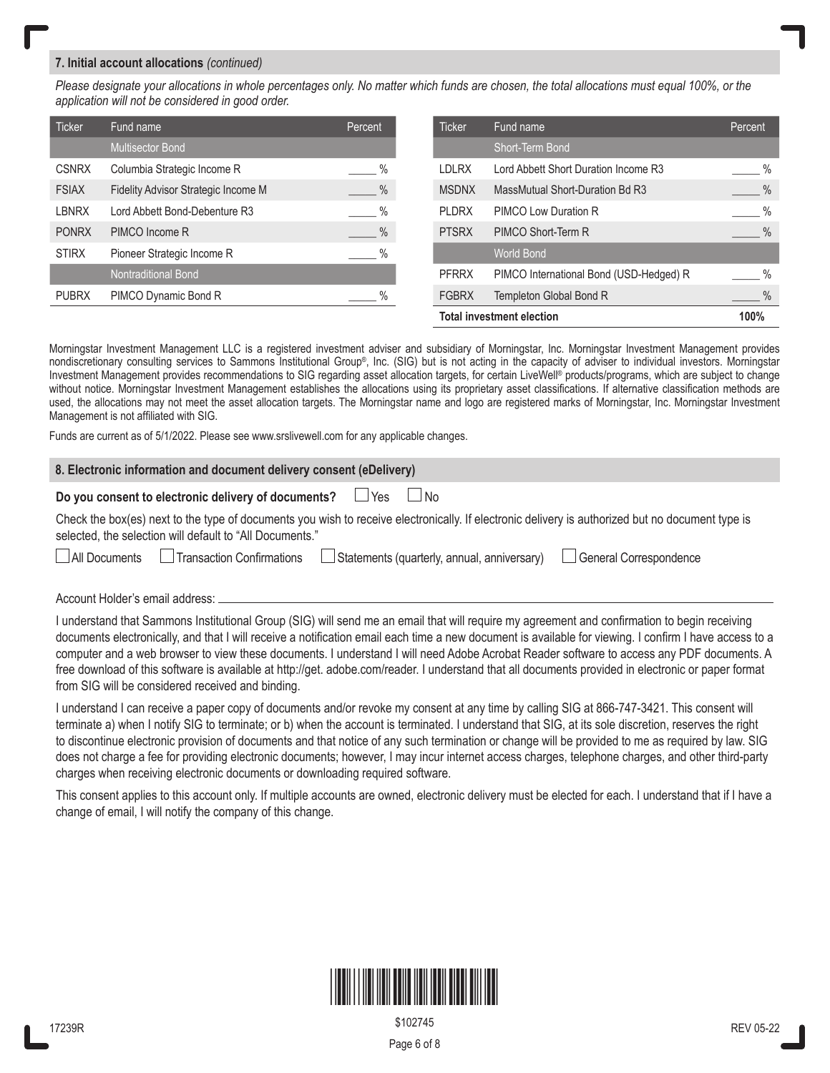## **7. Initial account allocations** *(continued)*

*Please designate your allocations in whole percentages only. No matter which funds are chosen, the total allocations must equal 100%, or the application will not be considered in good order.*

| <b>Ticker</b> | Fund name                           | Percent       |                                  | <b>Ticker</b> | Fund name                               | Percent       |
|---------------|-------------------------------------|---------------|----------------------------------|---------------|-----------------------------------------|---------------|
|               | <b>Multisector Bond</b>             |               |                                  |               | Short-Term Bond                         |               |
| <b>CSNRX</b>  | Columbia Strategic Income R         | $\frac{9}{6}$ |                                  | <b>LDLRX</b>  | Lord Abbett Short Duration Income R3    | $\%$          |
| <b>FSIAX</b>  | Fidelity Advisor Strategic Income M | $\frac{9}{6}$ |                                  | <b>MSDNX</b>  | MassMutual Short-Duration Bd R3         | $\frac{9}{6}$ |
| <b>LBNRX</b>  | Lord Abbett Bond-Debenture R3       | $\%$          |                                  | <b>PLDRX</b>  | PIMCO Low Duration R                    | $\%$          |
| <b>PONRX</b>  | PIMCO Income R                      | $\frac{0}{6}$ |                                  | <b>PTSRX</b>  | PIMCO Short-Term R                      | $\%$          |
| <b>STIRX</b>  | Pioneer Strategic Income R          | $\%$          |                                  |               | <b>World Bond</b>                       |               |
|               | <b>Nontraditional Bond</b>          |               |                                  | <b>PFRRX</b>  | PIMCO International Bond (USD-Hedged) R | $\%$          |
| <b>PUBRX</b>  | PIMCO Dynamic Bond R                | $\%$          |                                  | <b>FGBRX</b>  | Templeton Global Bond R                 | $\%$          |
|               |                                     |               | <b>Total investment election</b> |               | 100%                                    |               |

Morningstar Investment Management LLC is a registered investment adviser and subsidiary of Morningstar, Inc. Morningstar Investment Management provides nondiscretionary consulting services to Sammons Institutional Group®, Inc. (SIG) but is not acting in the capacity of adviser to individual investors. Morningstar Investment Management provides recommendations to SIG regarding asset allocation targets, for certain LiveWell® products/programs, which are subject to change without notice. Morningstar Investment Management establishes the allocations using its proprietary asset classifications. If alternative classification methods are used, the allocations may not meet the asset allocation targets. The Morningstar name and logo are registered marks of Morningstar, Inc. Morningstar Investment Management is not affiliated with SIG.

Funds are current as of 5/1/2022. Please see www.srslivewell.com for any applicable changes.

### **8. Electronic information and document delivery consent (eDelivery)**

**Do you consent to electronic delivery of documents?**  $\Box$  Yes  $\Box$  No

Check the box(es) next to the type of documents you wish to receive electronically. If electronic delivery is authorized but no document type is selected, the selection will default to "All Documents."

|  |  | All Documents | Transaction Confirmations |  | Statements (quarterly, annual, anniversary) |  |  |  |  |  |  | l General Correspondence |
|--|--|---------------|---------------------------|--|---------------------------------------------|--|--|--|--|--|--|--------------------------|
|--|--|---------------|---------------------------|--|---------------------------------------------|--|--|--|--|--|--|--------------------------|

Account Holder's email address:

I understand that Sammons Institutional Group (SIG) will send me an email that will require my agreement and confirmation to begin receiving documents electronically, and that I will receive a notification email each time a new document is available for viewing. I confirm I have access to a computer and a web browser to view these documents. I understand I will need Adobe Acrobat Reader software to access any PDF documents. A free download of this software is available at http://get. adobe.com/reader. I understand that all documents provided in electronic or paper format from SIG will be considered received and binding.

I understand I can receive a paper copy of documents and/or revoke my consent at any time by calling SIG at 866-747-3421. This consent will terminate a) when I notify SIG to terminate; or b) when the account is terminated. I understand that SIG, at its sole discretion, reserves the right to discontinue electronic provision of documents and that notice of any such termination or change will be provided to me as required by law. SIG does not charge a fee for providing electronic documents; however, I may incur internet access charges, telephone charges, and other third-party charges when receiving electronic documents or downloading required software.

This consent applies to this account only. If multiple accounts are owned, electronic delivery must be elected for each. I understand that if I have a change of email, I will notify the company of this change.



Page 6 of 8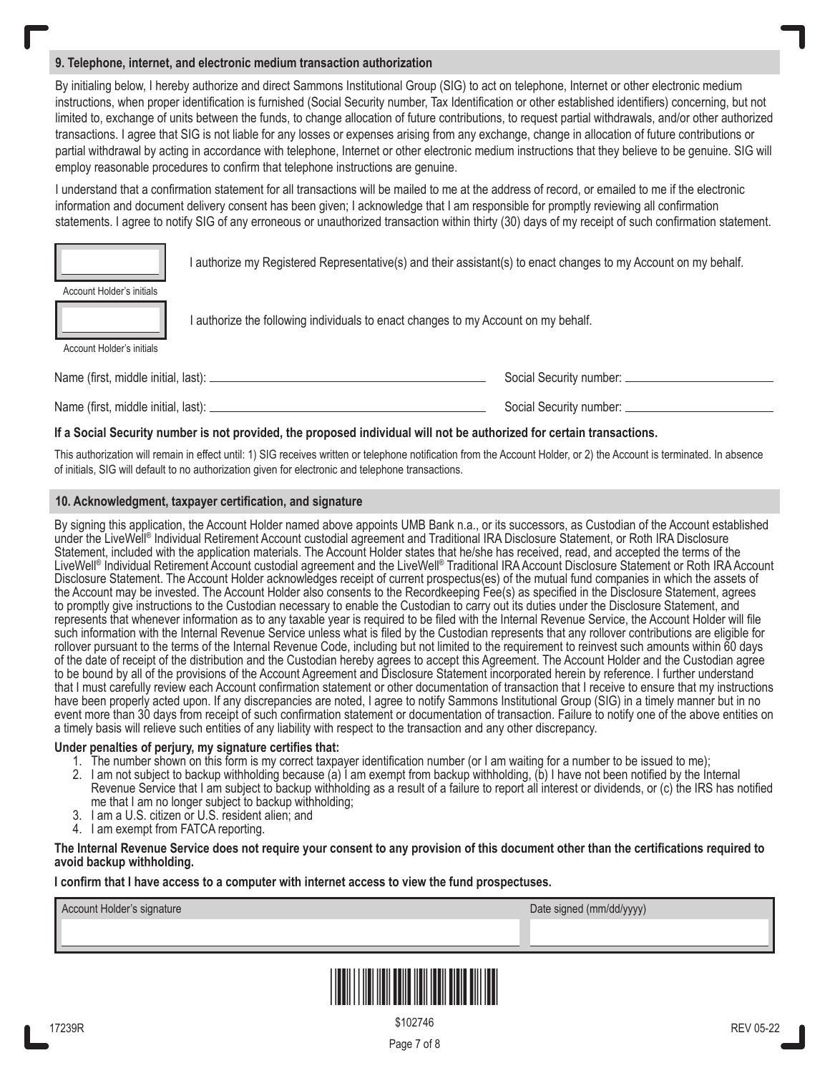## **9. Telephone, internet, and electronic medium transaction authorization**

By initialing below, I hereby authorize and direct Sammons Institutional Group (SIG) to act on telephone, Internet or other electronic medium instructions, when proper identification is furnished (Social Security number, Tax Identification or other established identifiers) concerning, but not limited to, exchange of units between the funds, to change allocation of future contributions, to request partial withdrawals, and/or other authorized transactions. I agree that SIG is not liable for any losses or expenses arising from any exchange, change in allocation of future contributions or partial withdrawal by acting in accordance with telephone, Internet or other electronic medium instructions that they believe to be genuine. SIG will employ reasonable procedures to confirm that telephone instructions are genuine.

I understand that a confirmation statement for all transactions will be mailed to me at the address of record, or emailed to me if the electronic information and document delivery consent has been given; I acknowledge that I am responsible for promptly reviewing all confirmation statements. I agree to notify SIG of any erroneous or unauthorized transaction within thirty (30) days of my receipt of such confirmation statement.

I authorize my Registered Representative(s) and their assistant(s) to enact changes to my Account on my behalf.

| Account Holder's initials |  |
|---------------------------|--|
|                           |  |

| Account Holder's initials |  |  |
|---------------------------|--|--|

I authorize the following individuals to enact changes to my Account on my behalf.

Name (first, middle initial, last): Social Security number: Name (first, middle initial, last): Social Security number: Social Security number: Social Security number:

### **If a Social Security number is not provided, the proposed individual will not be authorized for certain transactions.**

This authorization will remain in effect until: 1) SIG receives written or telephone notification from the Account Holder, or 2) the Account is terminated. In absence of initials, SIG will default to no authorization given for electronic and telephone transactions.

### **10. Acknowledgment, taxpayer certification, and signature**

By signing this application, the Account Holder named above appoints UMB Bank n.a., or its successors, as Custodian of the Account established under the LiveWell® Individual Retirement Account custodial agreement and Traditional IRA Disclosure Statement, or Roth IRA Disclosure Statement, included with the application materials. The Account Holder states that he/she has received, read, and accepted the terms of the LiveWell® Individual Retirement Account custodial agreement and the LiveWell® Traditional IRA Account Disclosure Statement or Roth IRA Account Disclosure Statement. The Account Holder acknowledges receipt of current prospectus(es) of the mutual fund companies in which the assets of the Account may be invested. The Account Holder also consents to the Recordkeeping Fee(s) as specified in the Disclosure Statement, agrees to promptly give instructions to the Custodian necessary to enable the Custodian to carry out its duties under the Disclosure Statement, and represents that whenever information as to any taxable year is required to be filed with the Internal Revenue Service, the Account Holder will file such information with the Internal Revenue Service unless what is filed by the Custodian represents that any rollover contributions are eligible for rollover pursuant to the terms of the Internal Revenue Code, including but not limited to the requirement to reinvest such amounts within 60 days of the date of receipt of the distribution and the Custodian hereby agrees to accept this Agreement. The Account Holder and the Custodian agree to be bound by all of the provisions of the Account Agreement and Disclosure Statement incorporated herein by reference. I further understand that I must carefully review each Account confirmation statement or other documentation of transaction that I receive to ensure that my instructions have been properly acted upon. If any discrepancies are noted, I agree to notify Sammons Institutional Group (SIG) in a timely manner but in no event more than 30 days from receipt of such confirmation statement or documentation of transaction. Failure to notify one of the above entities on a timely basis will relieve such entities of any liability with respect to the transaction and any other discrepancy.

#### **Under penalties of perjury, my signature certifies that:**

- 1. The number shown on this form is my correct taxpayer identification number (or I am waiting for a number to be issued to me);
- 2. I am not subject to backup withholding because (a) I am exempt from backup withholding, (b) I have not been notified by the Internal Revenue Service that I am subject to backup withholding as a result of a failure to report all interest or dividends, or (c) the IRS has notified me that I am no longer subject to backup withholding;
- 3. I am a U.S. citizen or U.S. resident alien; and
- 4. I am exempt from FATCA reporting.

#### **The Internal Revenue Service does not require your consent to any provision of this document other than the certifications required to avoid backup withholding.**

#### **I confirm that I have access to a computer with internet access to view the fund prospectuses.**

| Account Holder's signature |  |
|----------------------------|--|
|----------------------------|--|

Date signed (mm/dd/yyyy)



Page 7 of 8 \$102746